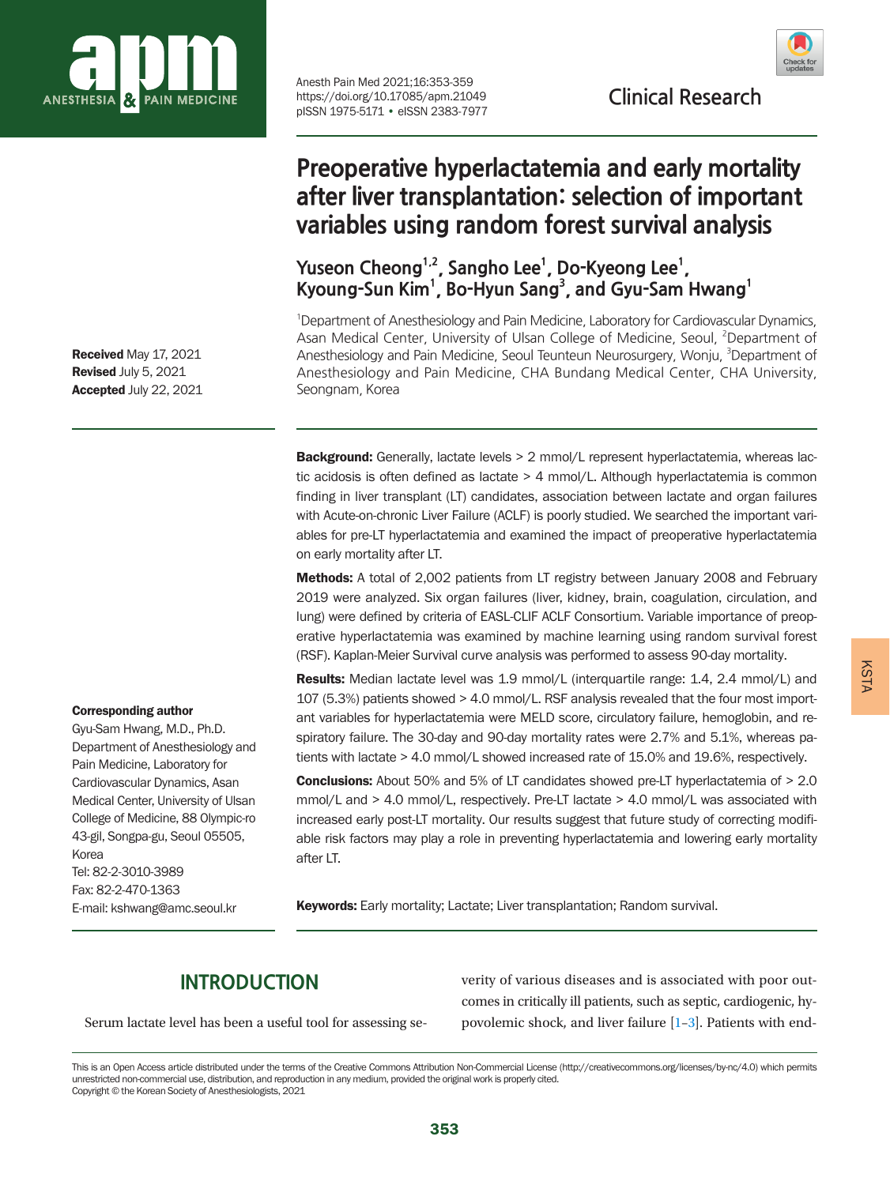

Anesth Pain Med 2021;16:353-359<br>https://doi.org/10.17085/apm.21049 **Clinical Research** pISSN 1975-5171 • eISSN 2383-7977



# **Preoperative hyperlactatemia and early mortality after liver transplantation: selection of important variables using random forest survival analysis**

Yuseon Cheong<sup>1,2</sup>, Sangho Lee<sup>1</sup>, Do-Kyeong Lee<sup>1</sup>, Kyoung-Sun Kim<sup>1</sup>, Bo-Hyun Sang<sup>3</sup>, and Gyu-Sam Hwang<sup>1</sup>

<sup>1</sup>Department of Anesthesiology and Pain Medicine, Laboratory for Cardiovascular Dynamics, Asan Medical Center, University of Ulsan College of Medicine, Seoul, <sup>2</sup>Department of Anesthesiology and Pain Medicine, Seoul Teunteun Neurosurgery, Wonju, <sup>3</sup>Department of Anesthesiology and Pain Medicine, CHA Bundang Medical Center, CHA University, Seongnam, Korea

**Background:** Generally, lactate levels > 2 mmol/L represent hyperlactatemia, whereas lactic acidosis is often defined as lactate > 4 mmol/L. Although hyperlactatemia is common finding in liver transplant (LT) candidates, association between lactate and organ failures with Acute-on-chronic Liver Failure (ACLF) is poorly studied. We searched the important variables for pre-LT hyperlactatemia and examined the impact of preoperative hyperlactatemia on early mortality after LT.

Methods: A total of 2,002 patients from LT registry between January 2008 and February 2019 were analyzed. Six organ failures (liver, kidney, brain, coagulation, circulation, and lung) were defined by criteria of EASL-CLIF ACLF Consortium. Variable importance of preoperative hyperlactatemia was examined by machine learning using random survival forest (RSF). Kaplan-Meier Survival curve analysis was performed to assess 90-day mortality.

Results: Median lactate level was 1.9 mmol/L (interquartile range: 1.4, 2.4 mmol/L) and 107 (5.3%) patients showed > 4.0 mmol/L. RSF analysis revealed that the four most important variables for hyperlactatemia were MELD score, circulatory failure, hemoglobin, and respiratory failure. The 30-day and 90-day mortality rates were 2.7% and 5.1%, whereas patients with lactate > 4.0 mmol/L showed increased rate of 15.0% and 19.6%, respectively.

Conclusions: About 50% and 5% of LT candidates showed pre-LT hyperlactatemia of > 2.0 mmol/L and > 4.0 mmol/L, respectively. Pre-LT lactate > 4.0 mmol/L was associated with increased early post-LT mortality. Our results suggest that future study of correcting modifiable risk factors may play a role in preventing hyperlactatemia and lowering early mortality after LT.

Keywords: Early mortality; Lactate; Liver transplantation; Random survival.

## **INTRODUCTION**

Serum lactate level has been a useful tool for assessing se-

verity of various diseases and is associated with poor outcomes in critically ill patients, such as septic, cardiogenic, hypovolemic shock, and liver failure [\[1](#page-5-0)[–3](#page-5-1)]. Patients with end-

Received May 17, 2021 Revised July 5, 2021 Accepted July 22, 2021

#### Corresponding author

Gyu-Sam Hwang, M.D., Ph.D. Department of Anesthesiology and Pain Medicine, Laboratory for Cardiovascular Dynamics, Asan Medical Center, University of Ulsan College of Medicine, 88 Olympic-ro 43-gil, Songpa-gu, Seoul 05505, Korea Tel: 82-2-3010-3989 Fax: 82-2-470-1363 E-mail: kshwang@amc.seoul.kr

This is an Open Access article distributed under the terms of the Creative Commons Attribution Non-Commercial License (http://creativecommons.org/licenses/by-nc/4.0) which permits unrestricted non-commercial use, distribution, and reproduction in any medium, provided the original work is properly cited. Copyright © the Korean Society of Anesthesiologists, 2021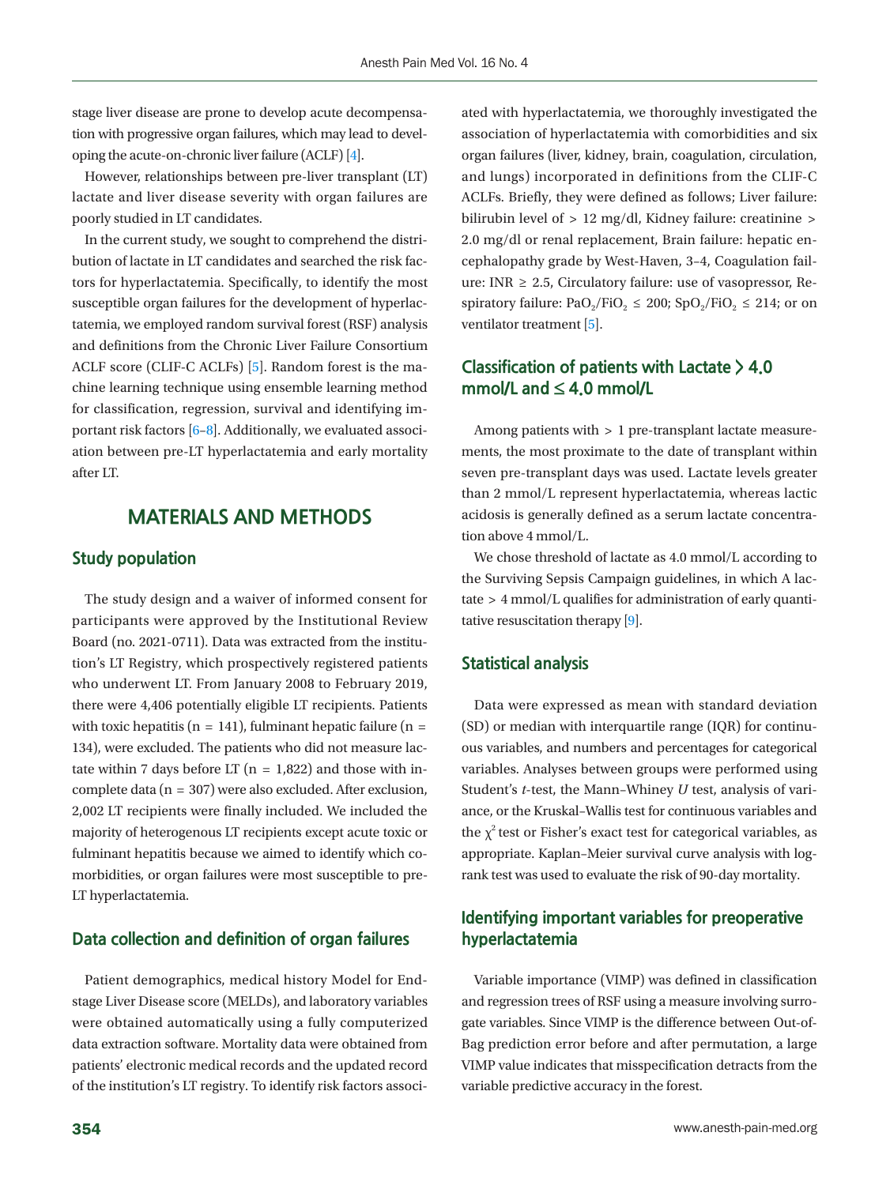stage liver disease are prone to develop acute decompensation with progressive organ failures, which may lead to developing the acute-on-chronic liver failure (ACLF) [\[4\]](#page-5-2).

However, relationships between pre-liver transplant (LT) lactate and liver disease severity with organ failures are poorly studied in LT candidates.

In the current study, we sought to comprehend the distribution of lactate in LT candidates and searched the risk factors for hyperlactatemia. Specifically, to identify the most susceptible organ failures for the development of hyperlactatemia, we employed random survival forest (RSF) analysis and definitions from the Chronic Liver Failure Consortium ACLF score (CLIF-C ACLFs) [\[5\]](#page-5-3). Random forest is the machine learning technique using ensemble learning method for classification, regression, survival and identifying important risk factors [\[6–](#page-5-4)[8\]](#page-5-5). Additionally, we evaluated association between pre-LT hyperlactatemia and early mortality after LT.

### **MATERIALS AND METHODS**

#### **Study population**

The study design and a waiver of informed consent for participants were approved by the Institutional Review Board (no. 2021-0711). Data was extracted from the institution's LT Registry, which prospectively registered patients who underwent LT. From January 2008 to February 2019, there were 4,406 potentially eligible LT recipients. Patients with toxic hepatitis ( $n = 141$ ), fulminant hepatic failure ( $n =$ 134), were excluded. The patients who did not measure lactate within 7 days before LT ( $n = 1,822$ ) and those with incomplete data (n = 307) were also excluded. After exclusion, 2,002 LT recipients were finally included. We included the majority of heterogenous LT recipients except acute toxic or fulminant hepatitis because we aimed to identify which comorbidities, or organ failures were most susceptible to pre-LT hyperlactatemia.

#### **Data collection and definition of organ failures**

Patient demographics, medical history Model for Endstage Liver Disease score (MELDs), and laboratory variables were obtained automatically using a fully computerized data extraction software. Mortality data were obtained from patients' electronic medical records and the updated record of the institution's LT registry. To identify risk factors associ-

ated with hyperlactatemia, we thoroughly investigated the association of hyperlactatemia with comorbidities and six organ failures (liver, kidney, brain, coagulation, circulation, and lungs) incorporated in definitions from the CLIF-C ACLFs. Briefly, they were defined as follows; Liver failure: bilirubin level of > 12 mg/dl, Kidney failure: creatinine > 2.0 mg/dl or renal replacement, Brain failure: hepatic encephalopathy grade by West-Haven, 3–4, Coagulation failure: INR  $\geq$  2.5, Circulatory failure: use of vasopressor, Respiratory failure: PaO<sub>2</sub>/FiO<sub>2</sub>  $\leq$  200; SpO<sub>2</sub>/FiO<sub>2</sub>  $\leq$  214; or on ventilator treatment [\[5](#page-5-3)].

#### **Classification of patients with Lactate > 4.0 mmol/L and ≤ 4.0 mmol/L**

Among patients with > 1 pre-transplant lactate measurements, the most proximate to the date of transplant within seven pre-transplant days was used. Lactate levels greater than 2 mmol/L represent hyperlactatemia, whereas lactic acidosis is generally defined as a serum lactate concentration above 4 mmol/L.

We chose threshold of lactate as 4.0 mmol/L according to the Surviving Sepsis Campaign guidelines, in which A lactate > 4 mmol/L qualifies for administration of early quantitative resuscitation therapy [\[9](#page-5-6)].

#### **Statistical analysis**

Data were expressed as mean with standard deviation (SD) or median with interquartile range (IQR) for continuous variables, and numbers and percentages for categorical variables. Analyses between groups were performed using Student's *t*-test, the Mann–Whiney *U* test, analysis of variance, or the Kruskal–Wallis test for continuous variables and the  $\chi^2$  test or Fisher's exact test for categorical variables, as appropriate. Kaplan–Meier survival curve analysis with logrank test was used to evaluate the risk of 90-day mortality.

#### **Identifying important variables for preoperative hyperlactatemia**

Variable importance (VIMP) was defined in classification and regression trees of RSF using a measure involving surrogate variables. Since VIMP is the difference between Out-of-Bag prediction error before and after permutation, a large VIMP value indicates that misspecification detracts from the variable predictive accuracy in the forest.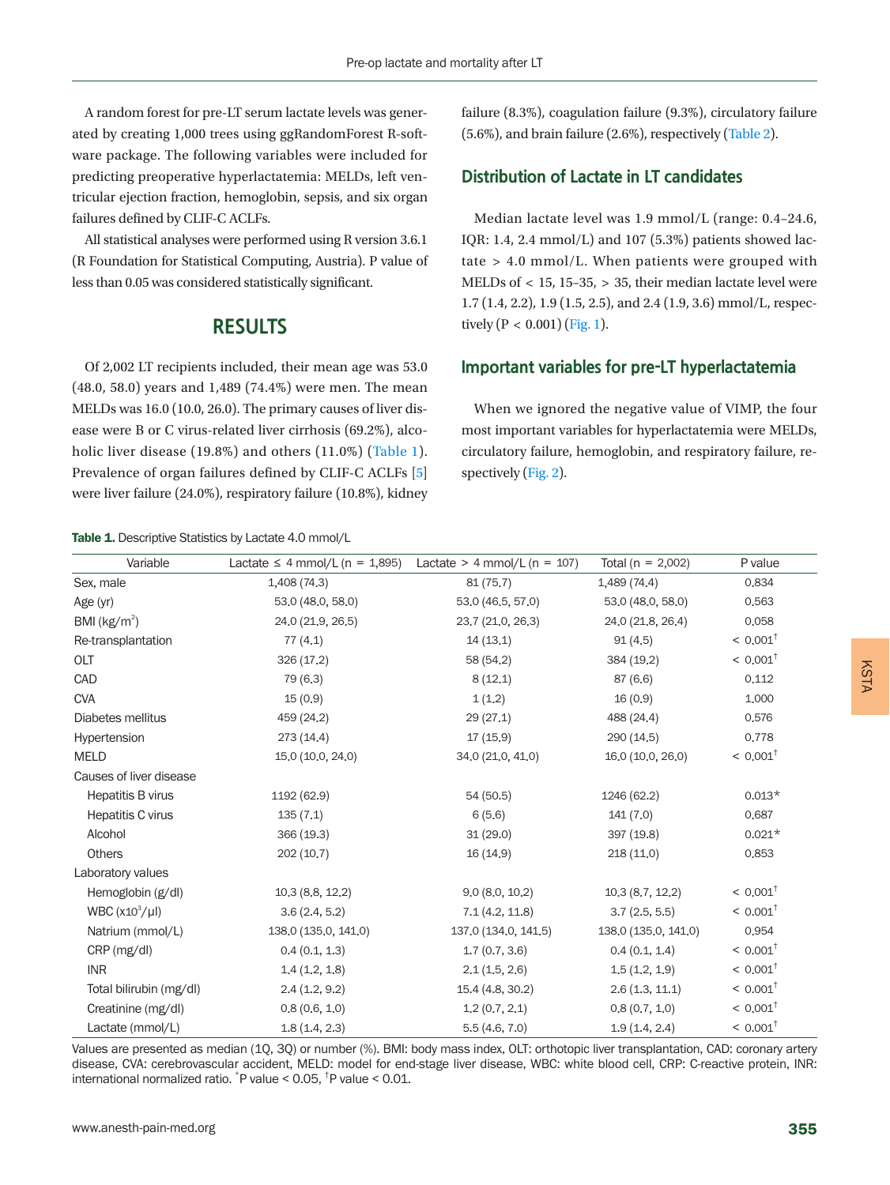A random forest for pre-LT serum lactate levels was generated by creating 1,000 trees using ggRandomForest R-software package. The following variables were included for predicting preoperative hyperlactatemia: MELDs, left ventricular ejection fraction, hemoglobin, sepsis, and six organ failures defined by CLIF-C ACLFs.

All statistical analyses were performed using R version 3.6.1 (R Foundation for Statistical Computing, Austria). P value of less than 0.05 was considered statistically significant.

#### **RESULTS**

Of 2,002 LT recipients included, their mean age was 53.0 (48.0, 58.0) years and 1,489 (74.4%) were men. The mean MELDs was 16.0 (10.0, 26.0). The primary causes of liver disease were B or C virus-related liver cirrhosis (69.2%), alco-holic liver disease (19.8%) and others (11.0%) [\(Table 1](#page-2-0)). Prevalence of organ failures defined by CLIF-C ACLFs [5] were liver failure (24.0%), respiratory failure (10.8%), kidney

<span id="page-2-0"></span>Table 1. Descriptive Statistics by Lactate 4.0 mmol/L

failure (8.3%), coagulation failure (9.3%), circulatory failure (5.6%), and brain failure (2.6%), respectively [\(Table 2\)](#page-3-0).

#### **Distribution of Lactate in LT candidates**

Median lactate level was 1.9 mmol/L (range: 0.4–24.6, IQR: 1.4, 2.4 mmol/L) and 107 (5.3%) patients showed lactate > 4.0 mmol/L. When patients were grouped with MELDs of < 15, 15–35, > 35, their median lactate level were 1.7 (1.4, 2.2), 1.9 (1.5, 2.5), and 2.4 (1.9, 3.6) mmol/L, respectively  $(P < 0.001)$  [\(Fig. 1\)](#page-3-1).

#### **Important variables for pre-LT hyperlactatemia**

When we ignored the negative value of VIMP, the four most important variables for hyperlactatemia were MELDs, circulatory failure, hemoglobin, and respiratory failure, respectively [\(Fig. 2](#page-3-2)).

| Variable                | Lactate $\leq$ 4 mmol/L (n = 1,895) | Lactate $>$ 4 mmol/L (n = 107) | Total ( $n = 2,002$ ) | P value             |
|-------------------------|-------------------------------------|--------------------------------|-----------------------|---------------------|
| Sex, male               | 1,408 (74.3)                        | 81(75.7)                       | 1,489(74.4)           | 0.834               |
| Age (yr)                | 53.0 (48.0, 58.0)                   | 53.0 (46.5, 57.0)              | 53.0 (48.0, 58.0)     | 0,563               |
| BMI ( $kg/m2$ )         | 24.0 (21.9, 26.5)                   | 23.7 (21.0, 26.3)              | 24.0 (21.8, 26.4)     | 0,058               |
| Re-transplantation      | 77(4.1)                             | 14(13.1)                       | 91(4.5)               | $< 0.001^{\dagger}$ |
| OLT                     | 326(17.2)                           | 58 (54.2)                      | 384 (19.2)            | $< 0.001^{\dagger}$ |
| CAD                     | 79 (6.3)                            | 8(12.1)                        | 87 (6.6)              | 0.112               |
| <b>CVA</b>              | 15(0.9)                             | 1(1.2)                         | 16(0.9)               | 1,000               |
| Diabetes mellitus       | 459 (24.2)                          | 29(27.1)                       | 488 (24.4)            | 0.576               |
| Hypertension            | 273(14.4)                           | 17(15.9)                       | 290(14.5)             | 0.778               |
| <b>MELD</b>             | 15.0 (10.0, 24.0)                   | 34.0 (21.0, 41.0)              | 16.0 (10.0, 26.0)     | $< 0.001^{\dagger}$ |
| Causes of liver disease |                                     |                                |                       |                     |
| Hepatitis B virus       | 1192 (62.9)                         | 54 (50.5)                      | 1246 (62.2)           | $0.013*$            |
| Hepatitis C virus       | 135(7.1)                            | 6(5.6)                         | 141(7.0)              | 0,687               |
| Alcohol                 | 366 (19.3)                          | 31(29.0)                       | 397 (19.8)            | $0.021*$            |
| <b>Others</b>           | 202(10.7)                           | 16 (14.9)                      | 218(11.0)             | 0,853               |
| Laboratory values       |                                     |                                |                       |                     |
| Hemoglobin (g/dl)       | 10.3(8.8, 12.2)                     | 9.0(8.0, 10.2)                 | 10.3(8.7, 12.2)       | $< 0.001^{\dagger}$ |
| WBC $(x10^3/\mu l)$     | 3.6(2.4, 5.2)                       | 7.1(4.2, 11.8)                 | 3.7(2.5, 5.5)         | $< 0.001^{\dagger}$ |
| Natrium (mmol/L)        | 138.0 (135.0, 141.0)                | 137.0 (134.0, 141.5)           | 138.0 (135.0, 141.0)  | 0,954               |
| CRP (mg/dl)             | 0.4(0.1, 1.3)                       | 1.7(0.7, 3.6)                  | 0.4(0.1, 1.4)         | $< 0.001^{\dagger}$ |
| <b>INR</b>              | 1.4(1.2, 1.8)                       | 2.1(1.5, 2.6)                  | 1.5(1.2, 1.9)         | $< 0.001^{\dagger}$ |
| Total bilirubin (mg/dl) | 2.4(1.2, 9.2)                       | 15.4 (4.8, 30.2)               | 2.6(1.3, 11.1)        | $< 0.001^{\dagger}$ |
| Creatinine (mg/dl)      | 0.8(0.6, 1.0)                       | 1.2(0.7, 2.1)                  | 0.8(0.7, 1.0)         | $< 0.001^{\dagger}$ |
| Lactate (mmol/L)        | 1.8(1.4, 2.3)                       | 5.5(4.6, 7.0)                  | 1.9(1.4, 2.4)         | $< 0.001^{\dagger}$ |
|                         |                                     |                                |                       |                     |

Values are presented as median (1Q, 3Q) or number (%). BMI: body mass index, OLT: orthotopic liver transplantation, CAD: coronary artery disease, CVA: cerebrovascular accident, MELD: model for end-stage liver disease, WBC: white blood cell, CRP: C-reactive protein, INR: international normalized ratio. \* P value < 0.05, † P value < 0.01.

KSTA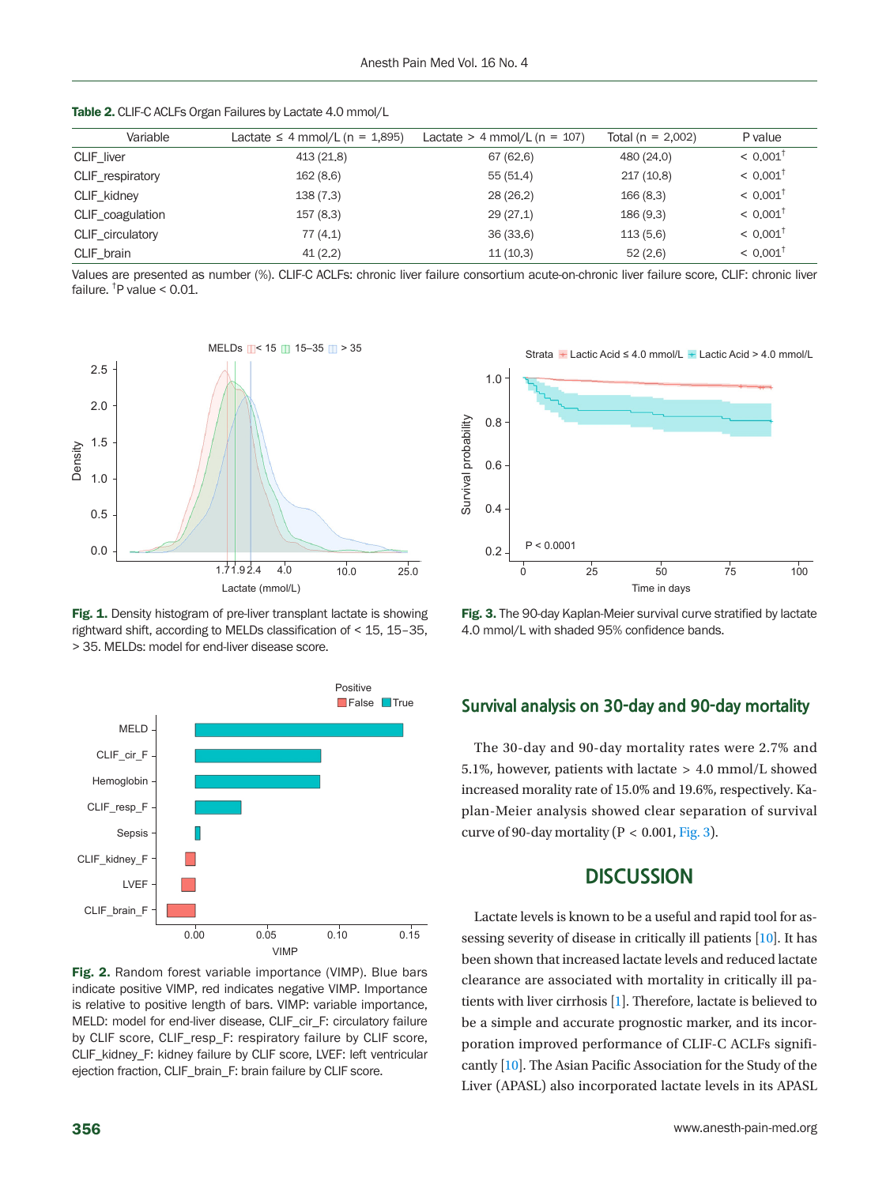<span id="page-3-0"></span>

|  | <b>Table 2.</b> CLIF-C ACLFs Organ Failures by Lactate 4.0 mmol/L |
|--|-------------------------------------------------------------------|
|--|-------------------------------------------------------------------|

| Variable         | Lactate $\leq$ 4 mmol/L (n = 1,895) | Lactate $>$ 4 mmol/L (n = 107) | Total ( $n = 2,002$ ) | P value                |
|------------------|-------------------------------------|--------------------------------|-----------------------|------------------------|
| CLIF liver       | 413 (21.8)                          | 67 (62.6)                      | 480 (24.0)            | $< 0.001$ <sup>†</sup> |
| CLIF_respiratory | 162(8.6)                            | 55(51,4)                       | 217(10,8)             | $< 0.001$ <sup>†</sup> |
| CLIF kidney      | 138(7.3)                            | 28(26.2)                       | 166(8,3)              | $< 0.001$ <sup>†</sup> |
| CLIF coagulation | 157(8.3)                            | 29(27,1)                       | 186(9,3)              | $< 0.001$ <sup>†</sup> |
| CLIF circulatory | 77(4,1)                             | 36(33,6)                       | 113(5.6)              | $< 0.001^{\dagger}$    |
| CLIF brain       | 41(2,2)                             | 11(10.3)                       | 52(2.6)               | $< 0.001^{\dagger}$    |

Values are presented as number (%). CLIF-C ACLFs: chronic liver failure consortium acute-on-chronic liver failure score, CLIF: chronic liver failure. † P value < 0.01.

<span id="page-3-1"></span>

Fig. 1. Density histogram of pre-liver transplant lactate is showing rightward shift, according to MELDs classification of < 15, 15–35, > 35. MELDs: model for end-liver disease score.

<span id="page-3-2"></span>

Fig. 2. Random forest variable importance (VIMP). Blue bars indicate positive VIMP, red indicates negative VIMP. Importance is relative to positive length of bars. VIMP: variable importance, MELD: model for end-liver disease, CLIF\_cir\_F: circulatory failure by CLIF score, CLIF\_resp\_F: respiratory failure by CLIF score, CLIF\_kidney\_F: kidney failure by CLIF score, LVEF: left ventricular ejection fraction, CLIF\_brain\_F: brain failure by CLIF score.

Strata  $\pm$  Lactic Acid ≤ 4.0 mmol/L  $\pm$  Lactic Acid > 4.0 mmol/L

<span id="page-3-3"></span>

Fig. 3. The 90-day Kaplan-Meier survival curve stratified by lactate 4.0 mmol/L with shaded 95% confidence bands.

#### **Survival analysis on 30-day and 90-day mortality**

The 30-day and 90-day mortality rates were 2.7% and 5.1%, however, patients with lactate > 4.0 mmol/L showed increased morality rate of 15.0% and 19.6%, respectively. Kaplan-Meier analysis showed clear separation of survival curve of 90-day mortality ( $P < 0.001$ , [Fig. 3](#page-3-3)).

#### **DISCUSSION**

Lactate levels is known to be a useful and rapid tool for assessing severity of disease in critically ill patients [\[10\]](#page-5-7). It has been shown that increased lactate levels and reduced lactate clearance are associated with mortality in critically ill patients with liver cirrhosis [1]. Therefore, lactate is believed to be a simple and accurate prognostic marker, and its incorporation improved performance of CLIF-C ACLFs significantly [10]. The Asian Pacific Association for the Study of the Liver (APASL) also incorporated lactate levels in its APASL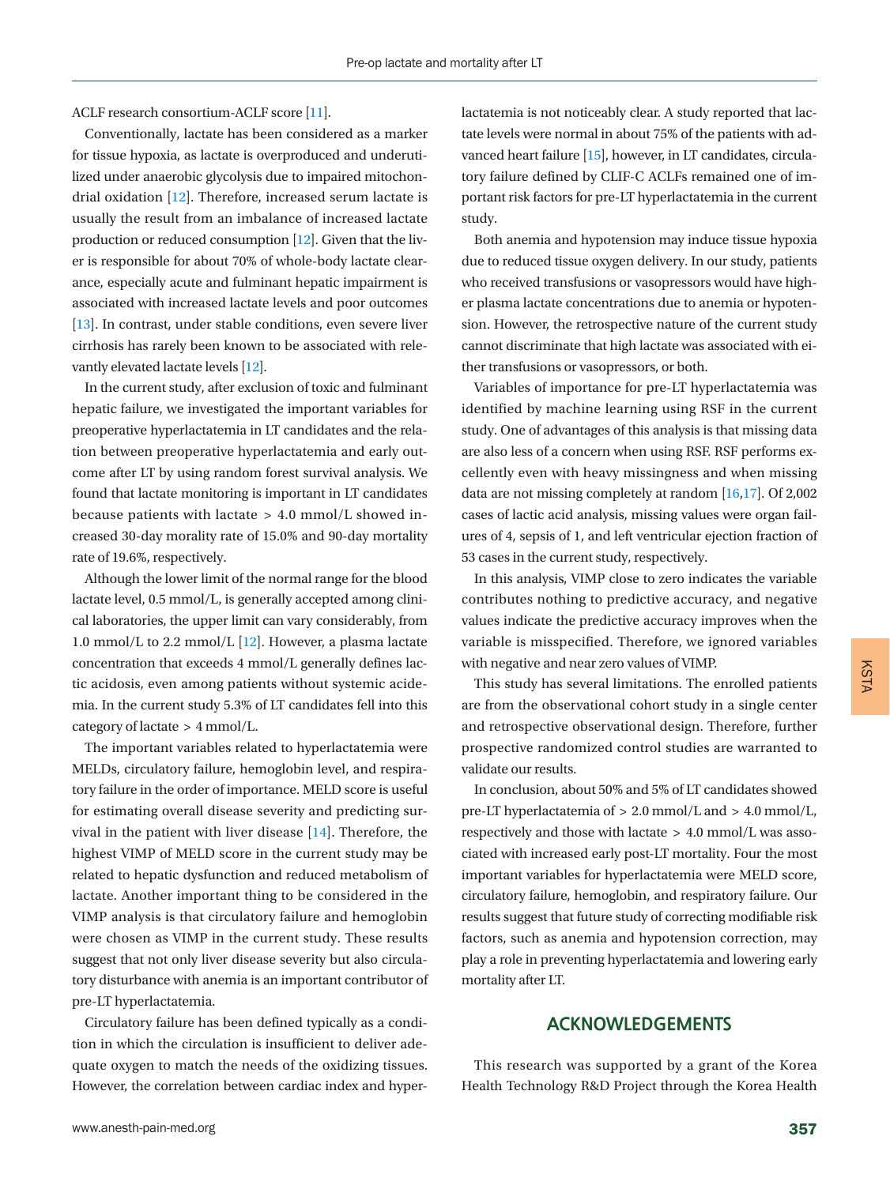ACLF research consortium-ACLF score [\[11\]](#page-5-8).

Conventionally, lactate has been considered as a marker for tissue hypoxia, as lactate is overproduced and underutilized under anaerobic glycolysis due to impaired mitochondrial oxidation [\[12\]](#page-5-6). Therefore, increased serum lactate is usually the result from an imbalance of increased lactate production or reduced consumption [\[12\]](#page-5-6). Given that the liver is responsible for about 70% of whole-body lactate clearance, especially acute and fulminant hepatic impairment is associated with increased lactate levels and poor outcomes [\[13\]](#page-5-9). In contrast, under stable conditions, even severe liver cirrhosis has rarely been known to be associated with relevantly elevated lactate levels [\[12\]](#page-5-6).

In the current study, after exclusion of toxic and fulminant hepatic failure, we investigated the important variables for preoperative hyperlactatemia in LT candidates and the relation between preoperative hyperlactatemia and early outcome after LT by using random forest survival analysis. We found that lactate monitoring is important in LT candidates because patients with lactate > 4.0 mmol/L showed increased 30-day morality rate of 15.0% and 90-day mortality rate of 19.6%, respectively.

Although the lower limit of the normal range for the blood lactate level, 0.5 mmol/L, is generally accepted among clinical laboratories, the upper limit can vary considerably, from 1.0 mmol/L to 2.2 mmol/L  $[12]$ . However, a plasma lactate concentration that exceeds 4 mmol/L generally defines lactic acidosis, even among patients without systemic acidemia. In the current study 5.3% of LT candidates fell into this category of lactate > 4 mmol/L.

The important variables related to hyperlactatemia were MELDs, circulatory failure, hemoglobin level, and respiratory failure in the order of importance. MELD score is useful for estimating overall disease severity and predicting survival in the patient with liver disease [\[14\]](#page-5-10). Therefore, the highest VIMP of MELD score in the current study may be related to hepatic dysfunction and reduced metabolism of lactate. Another important thing to be considered in the VIMP analysis is that circulatory failure and hemoglobin were chosen as VIMP in the current study. These results suggest that not only liver disease severity but also circulatory disturbance with anemia is an important contributor of pre-LT hyperlactatemia.

Circulatory failure has been defined typically as a condition in which the circulation is insufficient to deliver adequate oxygen to match the needs of the oxidizing tissues. However, the correlation between cardiac index and hyper-

www.anesth-pain-med.org 357

lactatemia is not noticeably clear. A study reported that lactate levels were normal in about 75% of the patients with advanced heart failure [\[15](#page-6-0)], however, in LT candidates, circulatory failure defined by CLIF-C ACLFs remained one of important risk factors for pre-LT hyperlactatemia in the current study.

Both anemia and hypotension may induce tissue hypoxia due to reduced tissue oxygen delivery. In our study, patients who received transfusions or vasopressors would have higher plasma lactate concentrations due to anemia or hypotension. However, the retrospective nature of the current study cannot discriminate that high lactate was associated with either transfusions or vasopressors, or both.

Variables of importance for pre-LT hyperlactatemia was identified by machine learning using RSF in the current study. One of advantages of this analysis is that missing data are also less of a concern when using RSF. RSF performs excellently even with heavy missingness and when missing data are not missing completely at random [\[16](#page-6-1)[,17\]](#page-6-2). Of 2,002 cases of lactic acid analysis, missing values were organ failures of 4, sepsis of 1, and left ventricular ejection fraction of 53 cases in the current study, respectively.

In this analysis, VIMP close to zero indicates the variable contributes nothing to predictive accuracy, and negative values indicate the predictive accuracy improves when the variable is misspecified. Therefore, we ignored variables with negative and near zero values of VIMP.

This study has several limitations. The enrolled patients are from the observational cohort study in a single center and retrospective observational design. Therefore, further prospective randomized control studies are warranted to validate our results.

In conclusion, about 50% and 5% of LT candidates showed pre-LT hyperlactatemia of > 2.0 mmol/L and > 4.0 mmol/L, respectively and those with lactate > 4.0 mmol/L was associated with increased early post-LT mortality. Four the most important variables for hyperlactatemia were MELD score, circulatory failure, hemoglobin, and respiratory failure. Our results suggest that future study of correcting modifiable risk factors, such as anemia and hypotension correction, may play a role in preventing hyperlactatemia and lowering early mortality after LT.

#### **ACKNOWLEDGEMENTS**

This research was supported by a grant of the Korea Health Technology R&D Project through the Korea Health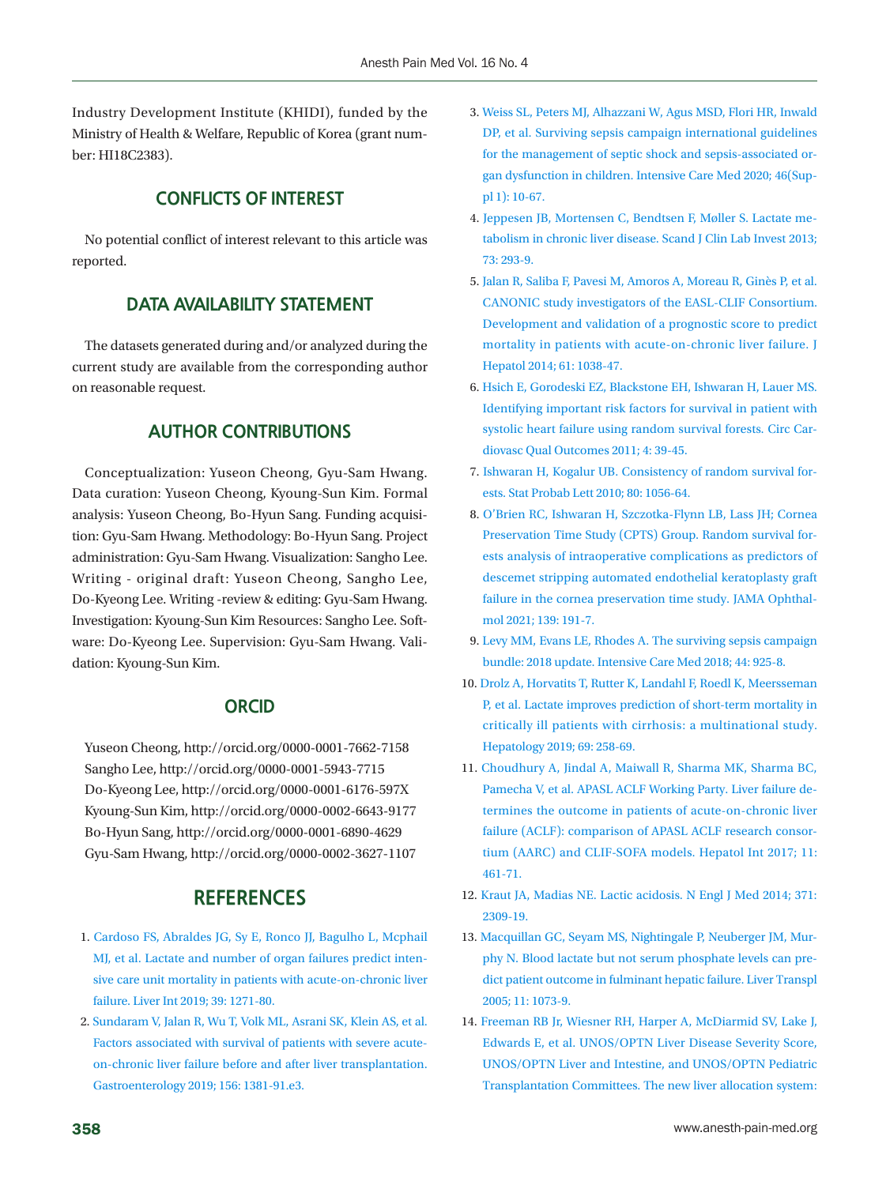Industry Development Institute (KHIDI), funded by the Ministry of Health & Welfare, Republic of Korea (grant number: HI18C2383).

#### **CONFLICTS OF INTEREST**

No potential conflict of interest relevant to this article was reported.

#### **DATA AVAILABILITY STATEMENT**

The datasets generated during and/or analyzed during the current study are available from the corresponding author on reasonable request.

#### **AUTHOR CONTRIBUTIONS**

<span id="page-5-0"></span>Conceptualization: Yuseon Cheong, Gyu-Sam Hwang. Data curation: Yuseon Cheong, Kyoung-Sun Kim. Formal analysis: Yuseon Cheong, Bo-Hyun Sang. Funding acquisition: Gyu-Sam Hwang. Methodology: Bo-Hyun Sang. Project administration: Gyu-Sam Hwang. Visualization: Sangho Lee. Writing - original draft: Yuseon Cheong, Sangho Lee, Do-Kyeong Lee. Writing -review & editing: Gyu-Sam Hwang. Investigation: Kyoung-Sun Kim Resources: Sangho Lee. Software: Do-Kyeong Lee. Supervision: Gyu-Sam Hwang. Validation: Kyoung-Sun Kim.

#### **ORCID**

Yuseon Cheong, http://orcid.org/0000-0001-7662-7158 Sangho Lee, http://orcid.org/0000-0001-5943-7715 Do-Kyeong Lee, http://orcid.org/0000-0001-6176-597X Kyoung-Sun Kim, http://orcid.org/0000-0002-6643-9177 Bo-Hyun Sang, http://orcid.org/0000-0001-6890-4629 Gyu-Sam Hwang, http://orcid.org/0000-0002-3627-1107

#### **REFERENCES**

- 1. [Cardoso FS, Abraldes JG, Sy E, Ronco JJ, Bagulho L, Mcphail](https://doi.org/10.1111/liv.14083) [MJ, et al. Lactate and number of organ failures predict inten](https://doi.org/10.1111/liv.14083)[sive care unit mortality in patients with acute-on-chronic liver](https://doi.org/10.1111/liv.14083) [failure. Liver Int 2019; 39: 1271-80.](https://doi.org/10.1111/liv.14083)
- 2. [Sundaram V, Jalan R, Wu T, Volk ML, Asrani SK, Klein AS, et al.](https://doi.org/10.1053/j.gastro.2018.12.007) [Factors associated with survival of patients with severe acute](https://doi.org/10.1053/j.gastro.2018.12.007)[on-chronic liver failure before and after liver transplantation.](https://doi.org/10.1053/j.gastro.2018.12.007) [Gastroenterology 2019; 156: 1381-91.e3.](https://doi.org/10.1053/j.gastro.2018.12.007)
- <span id="page-5-1"></span>3. [Weiss SL, Peters MJ, Alhazzani W, Agus MSD, Flori HR, Inwald](https://www.ncbi.nlm.nih.gov/pubmed/32030529) [DP, et al. Surviving sepsis campaign international guidelines](https://www.ncbi.nlm.nih.gov/pubmed/32030529) [for the management of septic shock and sepsis-associated or](https://www.ncbi.nlm.nih.gov/pubmed/32030529)[gan dysfunction in children. Intensive Care Med 2020;](https://www.ncbi.nlm.nih.gov/pubmed/32030529) 46(Suppl 1): 10-67.
- <span id="page-5-2"></span>4. [Jeppesen JB, Mortensen C, Bendtsen F, Møller S. Lactate me](https://doi.org/10.3109/00365513.2013.773591)[tabolism in chr](https://doi.org/10.3109/00365513.2013.773591)onic liver disease. Scand J Clin Lab Invest 2013; 73: 293-9.
- <span id="page-5-3"></span>5. Jalan R, Saliba F, Pavesi M, Amoros A, Mor[eau R, Ginès P, et al.](https://www.ncbi.nlm.nih.gov/pubmed/24950482) [CANONIC study investigators of the EASL-CLIF Consortium.](https://www.ncbi.nlm.nih.gov/pubmed/24950482) [Development and validation of a prognostic score to predict](https://www.ncbi.nlm.nih.gov/pubmed/24950482) [mortality in patients with acute-on-chronic liver](https://www.ncbi.nlm.nih.gov/pubmed/24950482) failure. J Hepatol 2014; 61: 1038-47.
- <span id="page-5-4"></span>6. [Hsich E, Gorodeski EZ, Blackstone EH, Ishwaran H, Lauer MS.](https://doi.org/10.1161/circoutcomes.110.939371) [Identifying important risk factors for survival in patient with](https://doi.org/10.1161/circoutcomes.110.939371) [systolic heart failure using random survival forests. Circ Car](https://doi.org/10.1161/circoutcomes.110.939371)[diovasc Qual Outcomes 2011; 4: 39-45.](https://doi.org/10.1161/circoutcomes.110.939371)
- <span id="page-5-7"></span>7[. Ishwaran H, Kogalur UB. Consistency of random survival for](https://doi.org/10.1016/j.spl.2010.02.020)[ests. Stat Probab Lett 2010; 80: 1056-64](https://doi.org/10.1016/j.spl.2010.02.020).
- <span id="page-5-5"></span>8[. O'Brien RC, Ishwaran H, Szczotka-Flynn LB, Lass JH; Cornea](https://www.ncbi.nlm.nih.gov/pubmed/33355637) [Preservation Time Study \(CPTS\) Group. Random survival for](https://www.ncbi.nlm.nih.gov/pubmed/33355637)[ests analysis of intraoperative complications as predictors of](https://www.ncbi.nlm.nih.gov/pubmed/33355637) [descemet stripping automated endothelial keratoplasty](https://www.ncbi.nlm.nih.gov/pubmed/33355637) graft failure in the cornea preservation time study. JAMA Ophthalmol 2021; 139: 191-7.
- <span id="page-5-6"></span>9. Levy MM, Evans LE, Rhodes A. The surviving sepsis campaign bundle: 2018 update. Intensive Care Med 2018; 44: 925-8.
- 10. [Drolz A, Horvatits T, Rutter K, Landahl F, Roedl K, Meersseman](https://doi.org/10.1002/hep.30151) [P, et al. Lactate improves prediction of short-term mortality in](https://doi.org/10.1002/hep.30151) [critically ill patients with cirrhosis: a multinational study.](https://doi.org/10.1002/hep.30151) [Hepatology 2019; 69: 258-69.](https://doi.org/10.1002/hep.30151)
- <span id="page-5-8"></span>11[. Choudhury A, Jindal A, Maiwall R, Sharma MK, Sharma BC,](https://doi.org/10.1007/s12072-017-9816-z)  [Pamecha V, et al. APASL ACLF Working Party. Liver failure de](https://doi.org/10.1007/s12072-017-9816-z)[termines the outcome in patients of acute-on-chronic liver](https://doi.org/10.1007/s12072-017-9816-z) [failure \(ACLF\): comparison of APASL ACLF research](https://doi.org/10.1007/s12072-017-9816-z) consortium (AARC) and CLIF-SOFA models. Hepatol Int 2017; 11: 461-71.
- 12. [Kraut JA, Madias NE. Lactic acidosis. N Engl J Med 2014; 371:](https://doi.org/10.1056/nejmra1309483)  [2309-19.](https://doi.org/10.1056/nejmra1309483)
- <span id="page-5-9"></span>1[3. Macquillan GC, Seyam MS, Nightingale P, Neuberger JM, Mur](https://doi.org/10.1002/lt.20427)[phy N. Blood lactate but not serum phosphate levels can pre](https://doi.org/10.1002/lt.20427)[dict patient outcome in fulminant hepatic failure. Liver Transpl](https://doi.org/10.1002/lt.20427) [2005; 11: 1073-9](https://doi.org/10.1002/lt.20427).
- <span id="page-5-10"></span>1[4. Freeman RB Jr, Wiesner RH, Harper A, McDiarmid SV, Lake J,](https://www.ncbi.nlm.nih.gov/pubmed/12200791) [Edwards E, et al. UNOS/OPTN Liver Disease Severity Score,](https://www.ncbi.nlm.nih.gov/pubmed/12200791) [UNOS/OPTN Liver and Intestine, and UNOS/OPTN Pediatric](https://www.ncbi.nlm.nih.gov/pubmed/12200791) [Transplantation Committees. The new liver allocation](https://www.ncbi.nlm.nih.gov/pubmed/12200791) system: